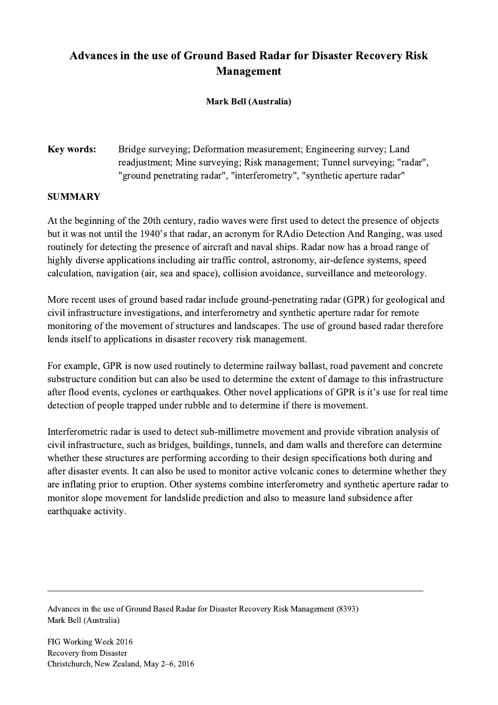## Advances in the use of Ground Based Radar for Disaster Recovery Risk Management

## Mark Bell (Australia)

## Key words: Bridge surveying; Deformation measurement; Engineering survey; Land readjustment; Mine surveying; Risk management; Tunnel surveying; "radar", "ground penetrating radar", "interferometry", "synthetic aperture radar"

## **SUMMARY**

At the beginning of the 20th century, radio waves were first used to detect the presence of objects but it was not until the 1940's that radar, an acronym for RAdio Detection And Ranging, was used routinely for detecting the presence of aircraft and naval ships. Radar now has a broad range of highly diverse applications including air traffic control, astronomy, air-defence systems, speed calculation, navigation (air, sea and space), collision avoidance, surveillance and meteorology.

More recent uses of ground based radar include ground-penetrating radar (GPR) for geological and civil infrastructure investigations, and interferometry and synthetic aperture radar for remote monitoring of the movement of structures and landscapes. The use of ground based radar therefore lends itself to applications in disaster recovery risk management.

For example, GPR is now used routinely to determine railway ballast, road pavement and concrete substructure condition but can also be used to determine the extent of damage to this infrastructure after flood events, cyclones or earthquakes. Other novel applications of GPR is it's use for real time detection of people trapped under rubble and to determine if there is movement.

Interferometric radar is used to detect sub-millimetre movement and provide vibration analysis of civil infrastructure, such as bridges, buildings, tunnels, and dam walls and therefore can determine whether these structures are performing according to their design specifications both during and after disaster events. It can also be used to monitor active volcanic cones to determine whether they are inflating prior to eruption. Other systems combine interferometry and synthetic aperture radar to monitor slope movement for landslide prediction and also to measure land subsidence after earthquake activity.

Advances in the use of Ground Based Radar for Disaster Recovery Risk Management (8393) Mark Bell (Australia)

 $\mathcal{L}_\mathcal{L} = \{ \mathcal{L}_\mathcal{L} = \{ \mathcal{L}_\mathcal{L} = \{ \mathcal{L}_\mathcal{L} = \{ \mathcal{L}_\mathcal{L} = \{ \mathcal{L}_\mathcal{L} = \{ \mathcal{L}_\mathcal{L} = \{ \mathcal{L}_\mathcal{L} = \{ \mathcal{L}_\mathcal{L} = \{ \mathcal{L}_\mathcal{L} = \{ \mathcal{L}_\mathcal{L} = \{ \mathcal{L}_\mathcal{L} = \{ \mathcal{L}_\mathcal{L} = \{ \mathcal{L}_\mathcal{L} = \{ \mathcal{L}_\mathcal{$ 

FIG Working Week 2016 Recovery from Disaster Christchurch, New Zealand, May 2–6, 2016